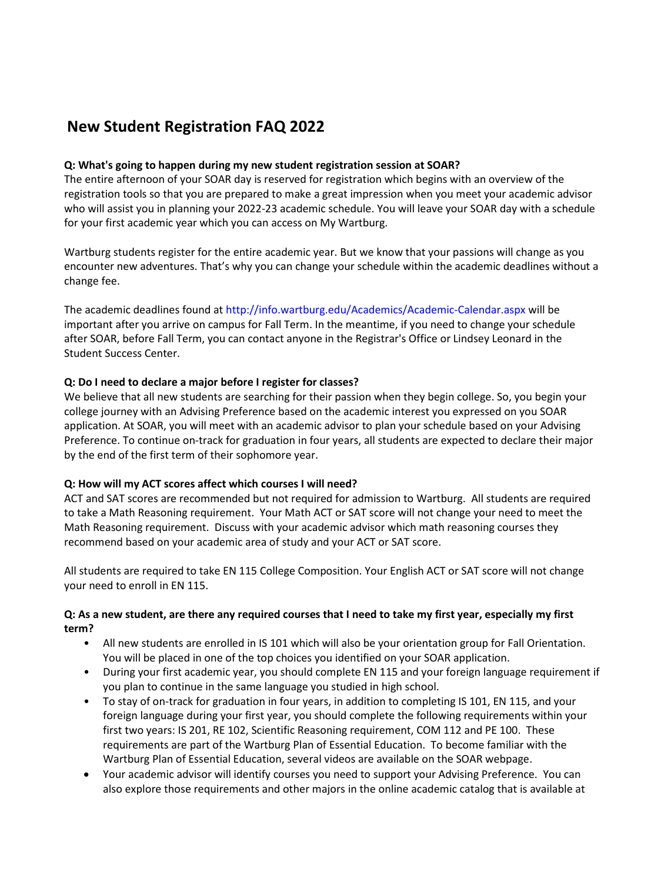# **New Student Registration FAQ 2022**

## **Q: What's going to happen during my new student registration session at SOAR?**

The entire afternoon of your SOAR day is reserved for registration which begins with an overview of the registration tools so that you are prepared to make a great impression when you meet your academic advisor who will assist you in planning your 2022-23 academic schedule. You will leave your SOAR day with a schedule for your first academic year which you can access on My Wartburg.

Wartburg students register for the entire academic year. But we know that your passions will change as you encounter new adventures. That's why you can change your schedule within the academic deadlines without a change fee.

The academic deadlines found at http://info.wartburg.edu/Academics/Academic-Calendar.aspx will be important after you arrive on campus for Fall Term. In the meantime, if you need to change your schedule after SOAR, before Fall Term, you can contact anyone in the Registrar's Office or Lindsey Leonard in the Student Success Center.

# **Q: Do I need to declare a major before I register for classes?**

We believe that all new students are searching for their passion when they begin college. So, you begin your college journey with an Advising Preference based on the academic interest you expressed on you SOAR application. At SOAR, you will meet with an academic advisor to plan your schedule based on your Advising Preference. To continue on-track for graduation in four years, all students are expected to declare their major by the end of the first term of their sophomore year.

## **Q: How will my ACT scores affect which courses I will need?**

ACT and SAT scores are recommended but not required for admission to Wartburg. All students are required to take a Math Reasoning requirement. Your Math ACT or SAT score will not change your need to meet the Math Reasoning requirement. Discuss with your academic advisor which math reasoning courses they recommend based on your academic area of study and your ACT or SAT score.

All students are required to take EN 115 College Composition. Your English ACT or SAT score will not change your need to enroll in EN 115.

# **Q: As a new student, are there any required courses that I need to take my first year, especially my first term?**

- All new students are enrolled in IS 101 which will also be your orientation group for Fall Orientation. You will be placed in one of the top choices you identified on your SOAR application.
- During your first academic year, you should complete EN 115 and your foreign language requirement if you plan to continue in the same language you studied in high school.
- To stay of on-track for graduation in four years, in addition to completing IS 101, EN 115, and your foreign language during your first year, you should complete the following requirements within your first two years: IS 201, RE 102, Scientific Reasoning requirement, COM 112 and PE 100. These requirements are part of the Wartburg Plan of Essential Education. To become familiar with the Wartburg Plan of Essential Education, several videos are available on the SOAR webpage.
- Your academic advisor will identify courses you need to support your Advising Preference. You can also explore those requirements and other majors in the online academic catalog that is available at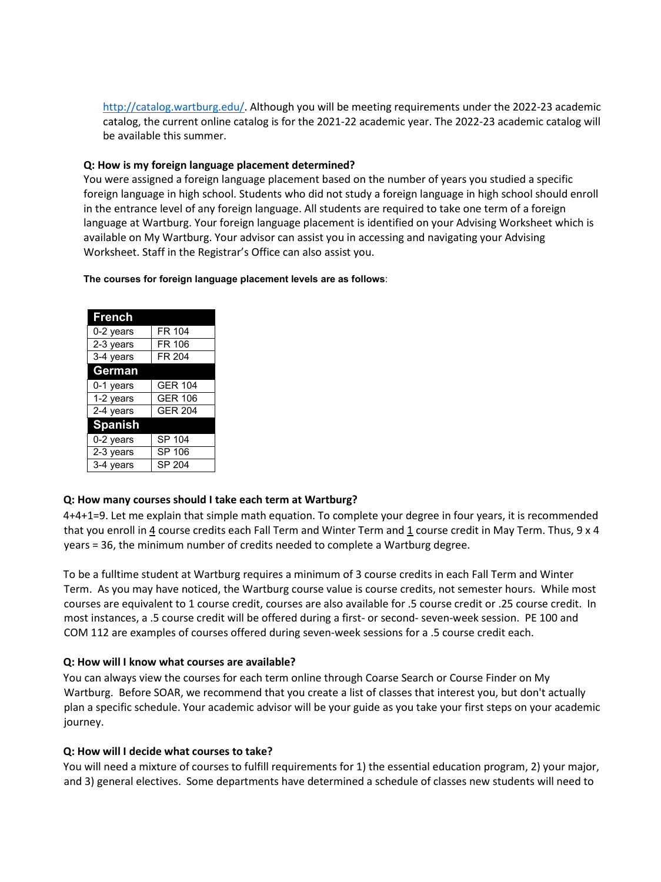[http://catalog.wartburg.edu/.](http://catalog.wartburg.edu/) Although you will be meeting requirements under the 2022-23 academic catalog, the current online catalog is for the 2021-22 academic year. The 2022-23 academic catalog will be available this summer.

### **Q: How is my foreign language placement determined?**

You were assigned a foreign language placement based on the number of years you studied a specific foreign language in high school. Students who did not study a foreign language in high school should enroll in the entrance level of any foreign language. All students are required to take one term of a foreign language at Wartburg. Your foreign language placement is identified on your Advising Worksheet which is available on My Wartburg. Your advisor can assist you in accessing and navigating your Advising Worksheet. Staff in the Registrar's Office can also assist you.

#### **The courses for foreign language placement levels are as follows**:

| French         |                |
|----------------|----------------|
| 0-2 years      | FR 104         |
| 2-3 years      | FR 106         |
| 3-4 years      | FR 204         |
| <b>German</b>  |                |
| 0-1 years      | <b>GER 104</b> |
| 1-2 years      | <b>GER 106</b> |
| 2-4 years      | <b>GER 204</b> |
| <b>Spanish</b> |                |
| 0-2 years      | SP 104         |
| 2-3 years      | SP 106         |
| 3-4 years      | SP 204         |

#### **Q: How many courses should I take each term at Wartburg?**

4+4+1=9. Let me explain that simple math equation. To complete your degree in four years, it is recommended that you enroll in  $4$  course credits each Fall Term and Winter Term and  $1$  course credit in May Term. Thus, 9 x 4 years = 36, the minimum number of credits needed to complete a Wartburg degree.

To be a fulltime student at Wartburg requires a minimum of 3 course credits in each Fall Term and Winter Term. As you may have noticed, the Wartburg course value is course credits, not semester hours. While most courses are equivalent to 1 course credit, courses are also available for .5 course credit or .25 course credit. In most instances, a .5 course credit will be offered during a first- or second- seven-week session. PE 100 and COM 112 are examples of courses offered during seven-week sessions for a .5 course credit each.

#### **Q: How will I know what courses are available?**

You can always view the courses for each term online through Coarse Search or Course Finder on My Wartburg. Before SOAR, we recommend that you create a list of classes that interest you, but don't actually plan a specific schedule. Your academic advisor will be your guide as you take your first steps on your academic journey.

#### **Q: How will I decide what courses to take?**

You will need a mixture of courses to fulfill requirements for 1) the essential education program, 2) your major, and 3) general electives. Some departments have determined a schedule of classes new students will need to